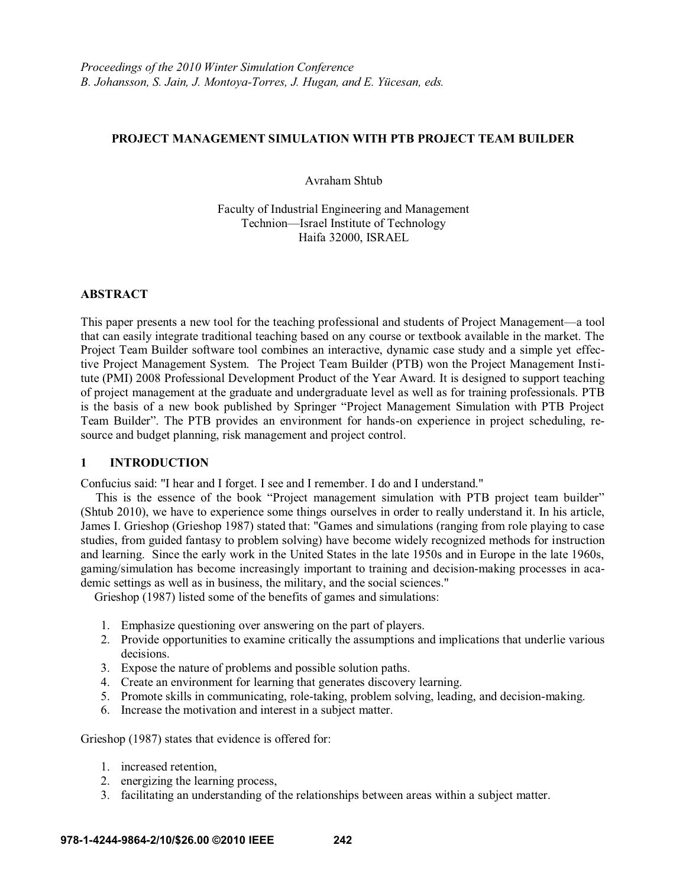# **PROJECT MANAGEMENT SIMULATION WITH PTB PROJECT TEAM BUILDER**

Avraham Shtub

Faculty of Industrial Engineering and Management Technion-Israel Institute of Technology Haifa 32000, ISRAEL

## **ABSTRACT**

This paper presents a new tool for the teaching professional and students of Project Management-a tool that can easily integrate traditional teaching based on any course or textbook available in the market. The Project Team Builder software tool combines an interactive, dynamic case study and a simple yet effective Project Management System. The Project Team Builder (PTB) won the Project Management Institute (PMI) 2008 Professional Development Product of the Year Award. It is designed to support teaching of project management at the graduate and undergraduate level as well as for training professionals. PTB is the basis of a new book published by Springer "Project Management Simulation with PTB Project Team Builder". The PTB provides an environment for hands-on experience in project scheduling, resource and budget planning, risk management and project control.

# **1 INTRODUCTION**

Confucius said: "I hear and I forget. I see and I remember. I do and I understand."

This is the essence of the book "Project management simulation with PTB project team builder" (Shtub 2010), we have to experience some things ourselves in order to really understand it. In his article, James I. Grieshop (Grieshop 1987) stated that: "Games and simulations (ranging from role playing to case studies, from guided fantasy to problem solving) have become widely recognized methods for instruction and learning. Since the early work in the United States in the late 1950s and in Europe in the late 1960s, gaming/simulation has become increasingly important to training and decision-making processes in academic settings as well as in business, the military, and the social sciences."

Grieshop (1987) listed some of the benefits of games and simulations:

- 1. Emphasize questioning over answering on the part of players.
- 2. Provide opportunities to examine critically the assumptions and implications that underlie various decisions.
- 3. Expose the nature of problems and possible solution paths.
- 4. Create an environment for learning that generates discovery learning.
- 5. Promote skills in communicating, role-taking, problem solving, leading, and decision-making.
- 6. Increase the motivation and interest in a subject matter.

Grieshop (1987) states that evidence is offered for:

- 1. increased retention,
- 2. energizing the learning process,
- 3. facilitating an understanding of the relationships between areas within a subject matter.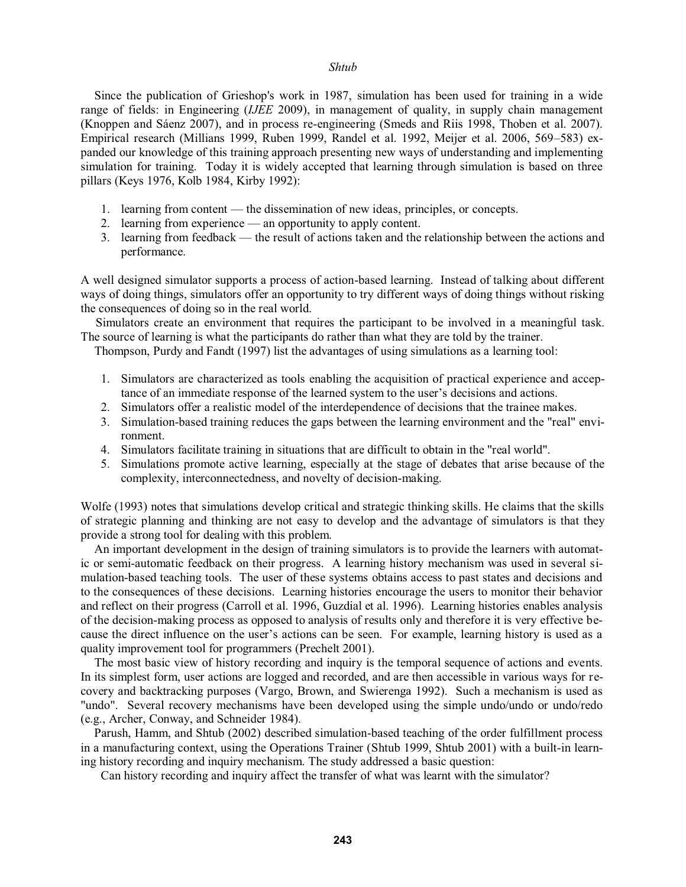Since the publication of Grieshop's work in 1987, simulation has been used for training in a wide range of fields: in Engineering (*IJEE* 2009), in management of quality, in supply chain management (Knoppen and Sáenz 2007), and in process re-engineering (Smeds and Riis 1998, Thoben et al. 2007). Empirical research (Millians 1999, Ruben 1999, Randel et al. 1992, Meijer et al. 2006, 569–583) expanded our knowledge of this training approach presenting new ways of understanding and implementing simulation for training. Today it is widely accepted that learning through simulation is based on three pillars (Keys 1976, Kolb 1984, Kirby 1992):

- 1. learning from content the dissemination of new ideas, principles, or concepts.
- 2. learning from experience an opportunity to apply content.
- 3. learning from feedback the result of actions taken and the relationship between the actions and performance.

A well designed simulator supports a process of action-based learning. Instead of talking about different ways of doing things, simulators offer an opportunity to try different ways of doing things without risking the consequences of doing so in the real world.

Simulators create an environment that requires the participant to be involved in a meaningful task. The source of learning is what the participants do rather than what they are told by the trainer.

Thompson, Purdy and Fandt (1997) list the advantages of using simulations as a learning tool:

- 1. Simulators are characterized as tools enabling the acquisition of practical experience and accep tance of an immediate response of the learned system to the user's decisions and actions.
- 2. Simulators offer a realistic model of the interdependence of decisions that the trainee makes.
- 3. Simulation-based training reduces the gaps between the learning environment and the "real" environment.
- 4. Simulators facilitate training in situations that are difficult to obtain in the "real world".
- 5. Simulations promote active learning, especially at the stage of debates that arise because of the complexity, interconnectedness, and novelty of decision-making.

Wolfe (1993) notes that simulations develop critical and strategic thinking skills. He claims that the skills of strategic planning and thinking are not easy to develop and the advantage of simulators is that they provide a strong tool for dealing with this problem.

An important development in the design of training simulators is to provide the learners with automatic or semi-automatic feedback on their progress. A learning history mechanism was used in several simulation-based teaching tools. The user of these systems obtains access to past states and decisions and to the consequences of these decisions. Learning histories encourage the users to monitor their behavior and reflect on their progress (Carroll et al. 1996, Guzdial et al. 1996). Learning histories enables analysis of the decision-making process as opposed to analysis of results only and therefore it is very effective because the direct influence on the user's actions can be seen. For example, learning history is used as a quality improvement tool for programmers (Prechelt 2001).

The most basic view of history recording and inquiry is the temporal sequence of actions and events. In its simplest form, user actions are logged and recorded, and are then accessible in various ways for recovery and backtracking purposes (Vargo, Brown, and Swierenga 1992). Such a mechanism is used as "undo". Several recovery mechanisms have been developed using the simple undo/undo or undo/redo (e.g., Archer, Conway, and Schneider 1984).

Parush, Hamm, and Shtub (2002) described simulation-based teaching of the order fulfillment process in a manufacturing context, using the Operations Trainer (Shtub 1999, Shtub 2001) with a built-in learning history recording and inquiry mechanism. The study addressed a basic question:

Can history recording and inquiry affect the transfer of what was learnt with the simulator?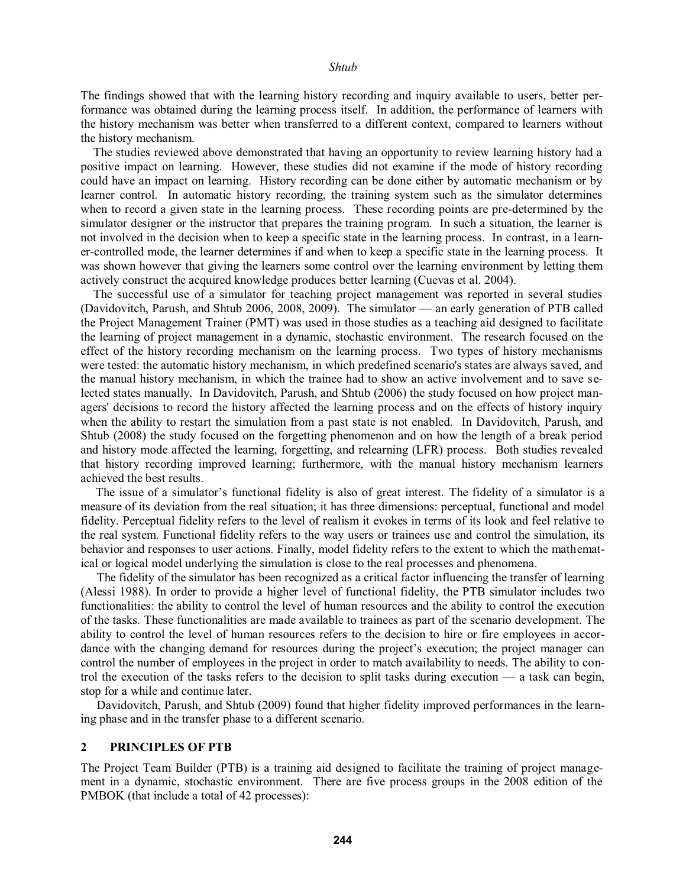The findings showed that with the learning history recording and inquiry available to users, better performance was obtained during the learning process itself. In addition, the performance of learners with the history mechanism was better when transferred to a different context, compared to learners without the history mechanism.

The studies reviewed above demonstrated that having an opportunity to review learning history had a positive impact on learning. However, these studies did not examine if the mode of history recording could have an impact on learning. History recording can be done either by automatic mechanism or by learner control. In automatic history recording, the training system such as the simulator determines when to record a given state in the learning process. These recording points are pre-determined by the simulator designer or the instructor that prepares the training program. In such a situation, the learner is not involved in the decision when to keep a specific state in the learning process. In contrast, in a learner-controlled mode, the learner determines if and when to keep a specific state in the learning process. It was shown however that giving the learners some control over the learning environment by letting them actively construct the acquired knowledge produces better learning (Cuevas et al. 2004).

The successful use of a simulator for teaching project management was reported in several studies (Davidovitch, Parush, and Shtub 2006, 2008, 2009). The simulator — an early generation of PTB called the Project Management Trainer (PMT) was used in those studies as a teaching aid designed to facilitate the learning of project management in a dynamic, stochastic environment. The research focused on the effect of the history recording mechanism on the learning process. Two types of history mechanisms were tested: the automatic history mechanism, in which predefined scenario's states are always saved, and the manual history mechanism, in which the trainee had to show an active involvement and to save selected states manually. In Davidovitch, Parush, and Shtub (2006) the study focused on how project managers' decisions to record the history affected the learning process and on the effects of history inquiry when the ability to restart the simulation from a past state is not enabled. In Davidovitch, Parush, and Shtub (2008) the study focused on the forgetting phenomenon and on how the length of a break period and history mode affected the learning, forgetting, and relearning (LFR) process. Both studies revealed that history recording improved learning; furthermore, with the manual history mechanism learners achieved the best results.

The issue of a simulator's functional fidelity is also of great interest. The fidelity of a simulator is a measure of its deviation from the real situation; it has three dimensions: perceptual, functional and model fidelity. Perceptual fidelity refers to the level of realism it evokes in terms of its look and feel relative to the real system. Functional fidelity refers to the way users or trainees use and control the simulation, its behavior and responses to user actions. Finally, model fidelity refers to the extent to which the mathematical or logical model underlying the simulation is close to the real processes and phenomena.

The fidelity of the simulator has been recognized as a critical factor influencing the transfer of learning (Alessi 1988). In order to provide a higher level of functional fidelity, the PTB simulator includes two functionalities: the ability to control the level of human resources and the ability to control the execution of the tasks. These functionalities are made available to trainees as part of the scenario development. The ability to control the level of human resources refers to the decision to hire or fire employees in accor dance with the changing demand for resources during the project's execution; the project manager can control the number of employees in the project in order to match availability to needs. The ability to control the execution of the tasks refers to the decision to split tasks during execution — a task can begin, stop for a while and continue later.

Davidovitch, Parush, and Shtub (2009) found that higher fidelity improved performances in the learning phase and in the transfer phase to a different scenario.

### **2 PRINCIPLES OF PTB**

The Project Team Builder (PTB) is a training aid designed to facilitate the training of project management in a dynamic, stochastic environment. There are five process groups in the 2008 edition of the PMBOK (that include a total of 42 processes):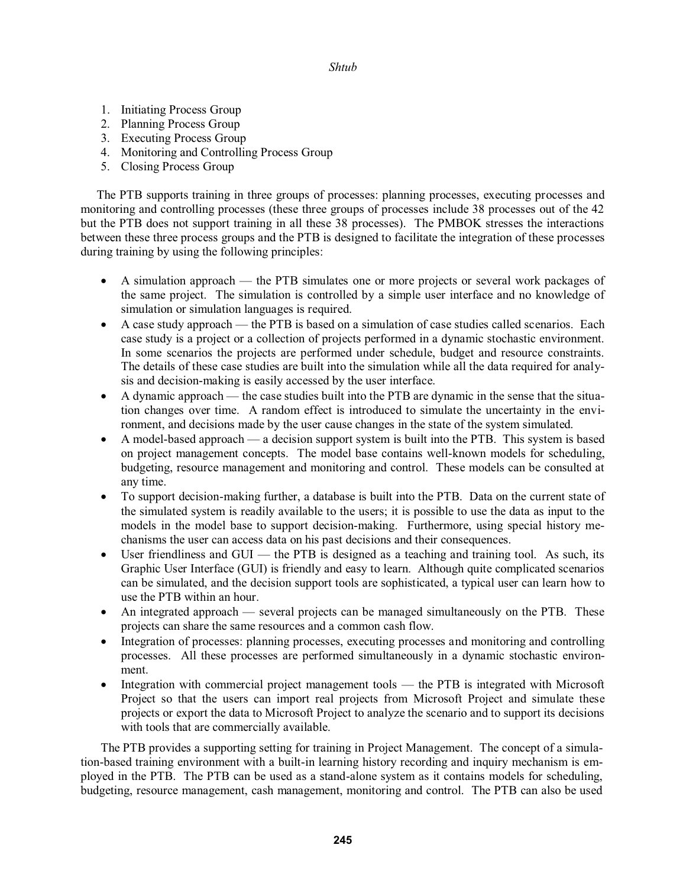- 1. Initiating Process Group
- 2. Planning Process Group
- 3. Executing Process Group
- 4. Monitoring and Controlling Process Group
- 5. Closing Process Group

The PTB supports training in three groups of processes: planning processes, executing processes and monitoring and controlling processes (these three groups of processes include 38 processes out of the 42 but the PTB does not support training in all these 38 processes). The PMBOK stresses the interactions between these three process groups and the PTB is designed to facilitate the integration of these processes during training by using the following principles:

- -• A simulation approach — the PTB simulates one or more projects or several work packages of the same project. The simulation is controlled by a simple user interface and no knowledge of simulation or simulation languages is required.
- $\bullet$  $\bullet$  A case study approach — the PTB is based on a simulation of case studies called scenarios. Each case study is a project or a collection of projects performed in a dynamic stochastic environment. In some scenarios the projects are performed under schedule, budget and resource constraints. The details of these case studies are built into the simulation while all the data required for analysis and decision-making is easily accessed by the user interface.
- $\bullet$ • A dynamic approach — the case studies built into the PTB are dynamic in the sense that the situation changes over time. A random effect is introduced to simulate the uncertainty in the environment, and decisions made by the user cause changes in the state of the system simulated.
- $\bullet$ • A model-based approach — a decision support system is built into the PTB. This system is based on project management concepts. The model base contains well-known models for scheduling, budgeting, resource management and monitoring and control. These models can be consulted at any time.
- $\bullet$  To support decision-making further, a database is built into the PTB. Data on the current state of the simulated system is readily available to the users; it is possible to use the data as input to the models in the model base to support decision-making. Furthermore, using special history mechanisms the user can access data on his past decisions and their consequences.
- $\bullet$ • User friendliness and GUI — the PTB is designed as a teaching and training tool. As such, its Graphic User Interface (GUI) is friendly and easy to learn. Although quite complicated scenarios can be simulated, and the decision support tools are sophisticated, a typical user can learn how to use the PTB within an hour.
- -• An integrated approach — several projects can be managed simultaneously on the PTB. These projects can share the same resources and a common cash flow.
- - Integration of processes: planning processes, executing processes and monitoring and controlling processes. All these processes are performed simultaneously in a dynamic stochastic environment.
- $\bullet$ • Integration with commercial project management tools — the PTB is integrated with Microsoft Project so that the users can import real projects from Microsoft Project and simulate these projects or export the data to Microsoft Project to analyze the scenario and to support its decisions with tools that are commercially available.

The PTB provides a supporting setting for training in Project Management. The concept of a simulation-based training environment with a built-in learning history recording and inquiry mechanism is employed in the PTB. The PTB can be used as a stand-alone system as it contains models for scheduling, budgeting, resource management, cash management, monitoring and control. The PTB can also be used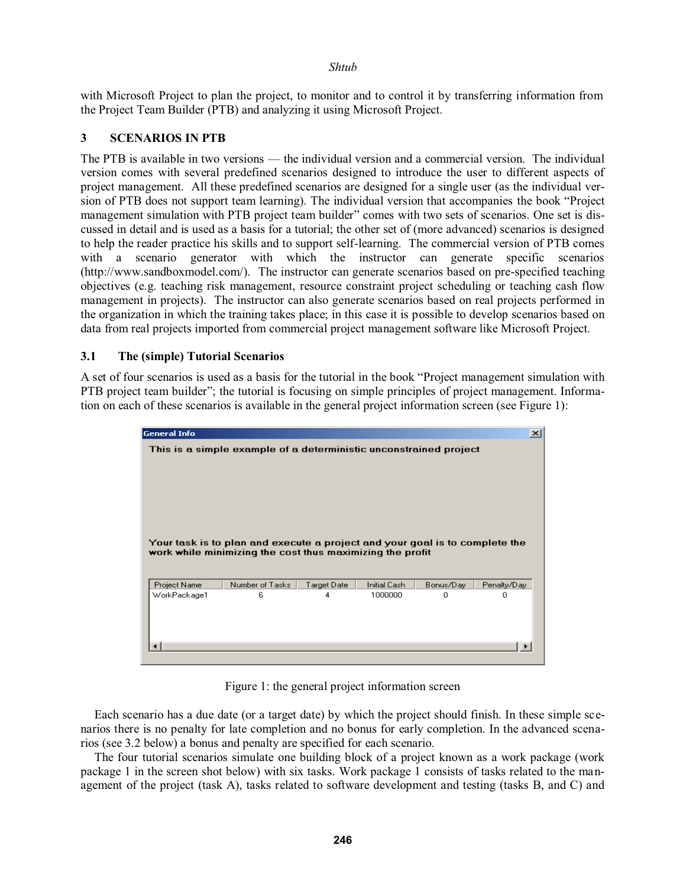with Microsoft Project to plan the project, to monitor and to control it by transferring information from the Project Team Builder (PTB) and analyzing it using Microsoft Project.

# **3 SCENARIOS IN PTB**

The PTB is available in two versions — the individual version and a commercial version. The individual version comes with several predefined scenarios designed to introduce the user to different aspects of project management. All these predefined scenarios are designed for a single user (as the individual version of PTB does not support team learning). The individual version that accompanies the book "Project" management simulation with PTB project team builder" comes with two sets of scenarios. One set is discussed in detail and is used as a basis for a tutorial; the other set of (more advanced) scenarios is designed to help the reader practice his skills and to support self-learning. The commercial version of PTB comes with a scenario generator with which the instructor can generate specific scenarios (http://www.sandboxmodel.com/). The instructor can generate scenarios based on pre-specified teaching objectives (e.g. teaching risk management, resource constraint project scheduling or teaching cash flow management in projects). The instructor can also generate scenarios based on real projects performed in the organization in which the training takes place; in this case it is possible to develop scenarios based on data from real projects imported from commercial project management software like Microsoft Project.

# **3.1 The (simple) Tutorial Scenarios**

A set of four scenarios is used as a basis for the tutorial in the book "Project management simulation with PTB project team builder"; the tutorial is focusing on simple principles of project management. Information on each of these scenarios is available in the general project information screen (see Figure 1):

| <b>General Info</b> |                                                                             |             |                     |           | $\vert x \vert$ |
|---------------------|-----------------------------------------------------------------------------|-------------|---------------------|-----------|-----------------|
|                     | This is a simple example of a deterministic unconstrained project           |             |                     |           |                 |
|                     |                                                                             |             |                     |           |                 |
|                     |                                                                             |             |                     |           |                 |
|                     |                                                                             |             |                     |           |                 |
|                     |                                                                             |             |                     |           |                 |
|                     |                                                                             |             |                     |           |                 |
|                     |                                                                             |             |                     |           |                 |
|                     |                                                                             |             |                     |           |                 |
|                     | Your task is to plan and execute a project and your goal is to complete the |             |                     |           |                 |
|                     | work while minimizing the cost thus maximizing the profit                   |             |                     |           |                 |
|                     |                                                                             |             |                     |           |                 |
| Project Name        | Number of Tasks                                                             | Target Date | <b>Initial Cash</b> | Bonus/Day | Penalty/Day     |
| WorkPackage1        | 6                                                                           | 4           | 1000000             | n         | n               |
|                     |                                                                             |             |                     |           |                 |
|                     |                                                                             |             |                     |           |                 |
|                     |                                                                             |             |                     |           |                 |
|                     |                                                                             |             |                     |           |                 |
|                     |                                                                             |             |                     |           |                 |

Figure 1: the general project information screen

Each scenario has a due date (or a target date) by which the project should finish. In these simple scenarios there is no penalty for late completion and no bonus for early completion. In the advanced scenarios (see 3.2 below) a bonus and penalty are specified for each scenario.

The four tutorial scenarios simulate one building block of a project known as a work package (work package 1 in the screen shot below) with six tasks. Work package 1 consists of tasks related to the management of the project (task A), tasks related to software development and testing (tasks B, and C) and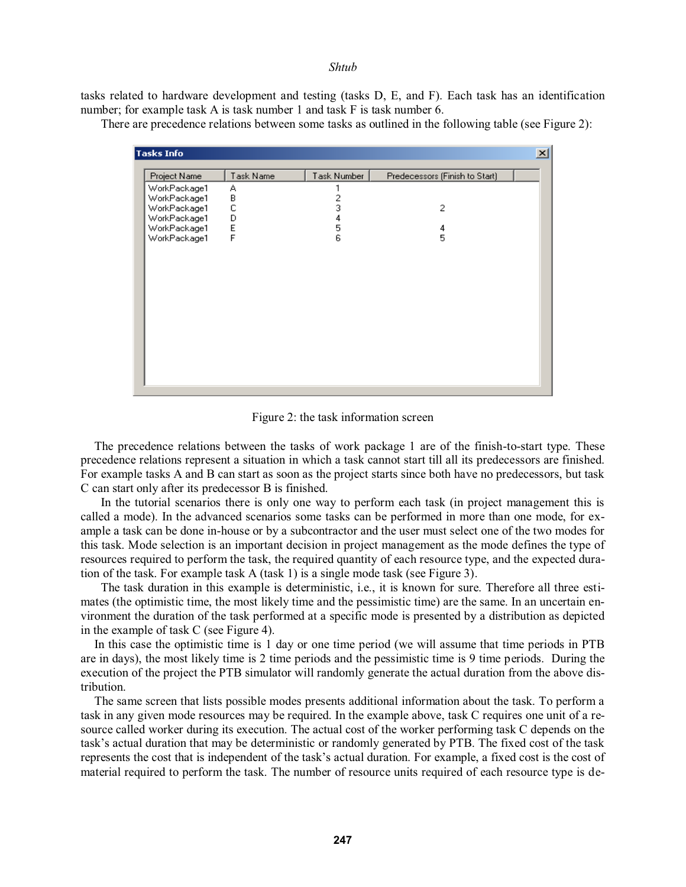tasks related to hardware development and testing (tasks D, E, and F). Each task has an identification number; for example task A is task number 1 and task F is task number 6.

There are precedence relations between some tasks as outlined in the following table (see Figure 2):

| Tasks Info                   |             |                                            |                                | $\vert x \vert$ |
|------------------------------|-------------|--------------------------------------------|--------------------------------|-----------------|
| Project Name                 | Task Name   | Task Number                                | Predecessors (Finish to Start) |                 |
| WorkPackage1                 | А           |                                            |                                |                 |
| WorkPackage1                 | B           | $\frac{2}{3}$                              |                                |                 |
| WorkPackage1                 | C           |                                            | 2                              |                 |
| WorkPackage1                 |             |                                            |                                |                 |
| WorkPackage1<br>WorkPackage1 | D<br>E<br>F | $\begin{array}{c} 4 \\ 5 \\ 6 \end{array}$ | 4<br>5                         |                 |
|                              |             |                                            |                                |                 |
|                              |             |                                            |                                |                 |
|                              |             |                                            |                                |                 |
|                              |             |                                            |                                |                 |
|                              |             |                                            |                                |                 |
|                              |             |                                            |                                |                 |
|                              |             |                                            |                                |                 |
|                              |             |                                            |                                |                 |
|                              |             |                                            |                                |                 |
|                              |             |                                            |                                |                 |
|                              |             |                                            |                                |                 |
|                              |             |                                            |                                |                 |
|                              |             |                                            |                                |                 |

Figure 2: the task information screen

The precedence relations between the tasks of work package 1 are of the finish-to-start type. These precedence relations represent a situation in which a task cannot start till all its predecessors are finished. For example tasks A and B can start as soon as the project starts since both have no predecessors, but task C can start only after its predecessor B is finished.

 In the tutorial scenarios there is only one way to perform each task (in project management this is called a mode). In the advanced scenarios some tasks can be performed in more than one mode, for example a task can be done in-house or by a subcontractor and the user must select one of the two modes for this task. Mode selection is an important decision in project management as the mode defines the type of resources required to perform the task, the required quantity of each resource type, and the expected duration of the task. For example task A (task 1) is a single mode task (see Figure 3).

 The task duration in this example is deterministic, i.e., it is known for sure. Therefore all three estimates (the optimistic time, the most likely time and the pessimistic time) are the same. In an uncertain environment the duration of the task performed at a specific mode is presented by a distribution as depicted in the example of task C (see Figure 4).

In this case the optimistic time is 1 day or one time period (we will assume that time periods in PTB are in days), the most likely time is 2 time periods and the pessimistic time is 9 time periods. During the execution of the project the PTB simulator will randomly generate the actual duration from the above distribution.

The same screen that lists possible modes presents additional information about the task. To perform a task in any given mode resources may be required. In the example above, task C requires one unit of a resource called worker during its execution. The actual cost of the worker performing task C depends on the task's actual duration that may be deterministic or randomly generated by PTB. The fixed cost of the task represents the cost that is independent of the task's actual duration. For example, a fixed cost is the cost of material required to perform the task. The number of resource units required of each resource type is de-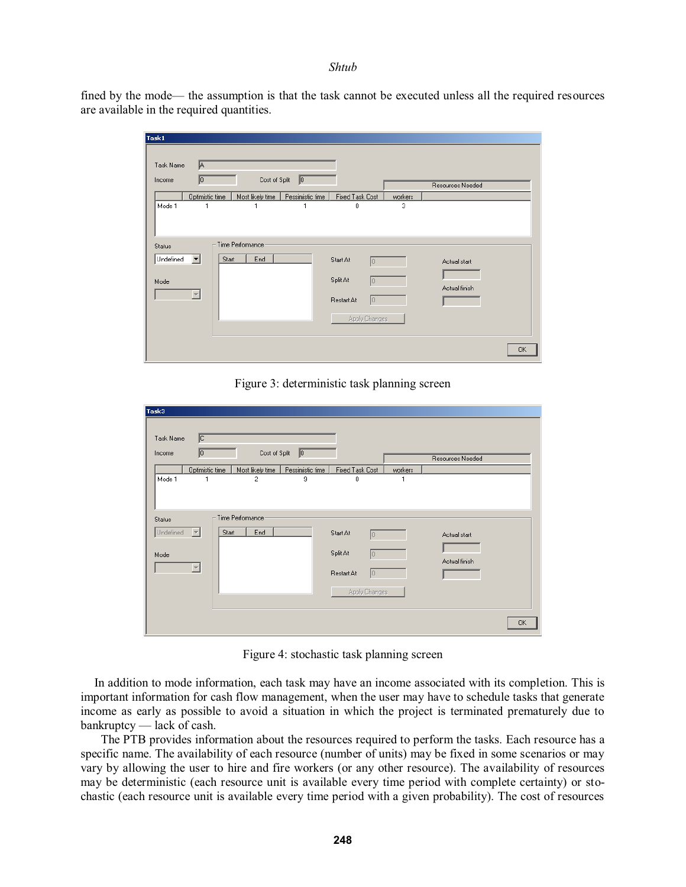fined by the mode— the assumption is that the task cannot be executed unless all the required resources are available in the required quantities.

| Task1               |                          |                  |                  |                  |         |                  |    |
|---------------------|--------------------------|------------------|------------------|------------------|---------|------------------|----|
| Task Name<br>Income | 区<br>T                   | Cost of Split    | 同                |                  |         | Resources Needed |    |
|                     | Optimistic time          | Most likely time | Pessimistic time | Fixed Task Cost  | workers |                  |    |
| Mode 1<br>Status    | 1                        | Time Performance |                  | 0                | 3       |                  |    |
| Undefined           | Start<br>▼               | End              |                  | Start At<br> 0   |         | Actual start     |    |
| Mode                | $\overline{\phantom{m}}$ |                  |                  | Split At<br>10   |         | Actual finish    |    |
|                     |                          |                  |                  | Restart At<br> 0 |         |                  |    |
|                     |                          |                  |                  | Apply Changes    |         |                  |    |
|                     |                          |                  |                  |                  |         |                  | 0K |

Figure 3: deterministic task planning screen

| Task <sub>3</sub>             |                           |                                                    |                  |                                                     |         |                  |    |
|-------------------------------|---------------------------|----------------------------------------------------|------------------|-----------------------------------------------------|---------|------------------|----|
| Task Name<br>Income           | ╔<br>lo                   | Cost of Split                                      | o                |                                                     |         | Resources Needed |    |
|                               | Optimistic time           | Most likely time                                   | Pessimistic time | Fixed Task Cost                                     | workers |                  |    |
| Mode 1<br>Status<br>Undefined | 1<br>$\vert \nabla \vert$ | $\overline{2}$<br>Time Performance<br>End<br>Start | $\overline{9}$   | 0<br>Start At<br>10                                 |         | Actual start     |    |
| Mode                          | $\overline{\phantom{a}}$  |                                                    |                  | Split At<br>10<br>Restart At<br>10<br>Apply Changes |         | Actual finish    |    |
|                               |                           |                                                    |                  |                                                     |         |                  | 0K |

Figure 4: stochastic task planning screen

In addition to mode information, each task may have an income associated with its completion. This is important information for cash flow management, when the user may have to schedule tasks that generate income as early as possible to avoid a situation in which the project is terminated prematurely due to bankruptcy — lack of cash.

 The PTB provides information about the resources required to perform the tasks. Each resource has a specific name. The availability of each resource (number of units) may be fixed in some scenarios or may vary by allowing the user to hire and fire workers (or any other resource). The availability of resources may be deterministic (each resource unit is available every time period with complete certainty) or stochastic (each resource unit is available every time period with a given probability). The cost of resources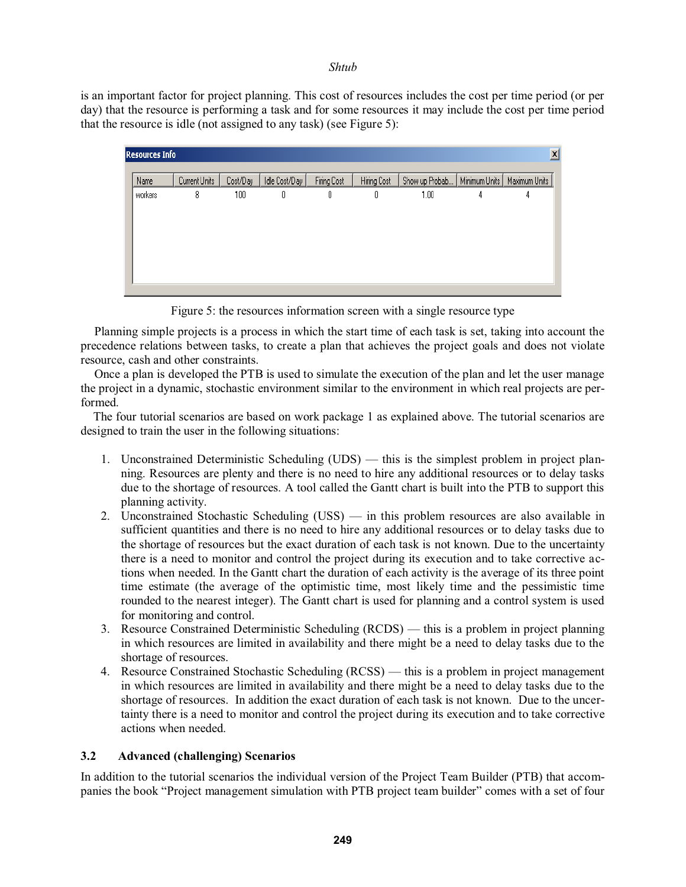is an important factor for project planning. This cost of resources includes the cost per time period (or per day) that the resource is performing a task and for some resources it may include the cost per time period that the resource is idle (not assigned to any task) (see Figure 5):

| <b>Resources Info</b> |               |          |               |             |             |                |               |               | $\mathbf{x}$ |
|-----------------------|---------------|----------|---------------|-------------|-------------|----------------|---------------|---------------|--------------|
| Name                  | Current Units | Cost/Day | Idle Cost/Day | Firing Cost | Hiring Cost | Show up Probab | Minimum Units | Maximum Units |              |
| workers               | 8             | 100      | 0             | 0           | 0           | 1.00           | 4             |               |              |
|                       |               |          |               |             |             |                |               |               |              |
|                       |               |          |               |             |             |                |               |               |              |
|                       |               |          |               |             |             |                |               |               |              |
|                       |               |          |               |             |             |                |               |               |              |
|                       |               |          |               |             |             |                |               |               |              |

Figure 5: the resources information screen with a single resource type

Planning simple projects is a process in which the start time of each task is set, taking into account the precedence relations between tasks, to create a plan that achieves the project goals and does not violate resource, cash and other constraints.

Once a plan is developed the PTB is used to simulate the execution of the plan and let the user manage the project in a dynamic, stochastic environment similar to the environment in which real projects are performed.

The four tutorial scenarios are based on work package 1 as explained above. The tutorial scenarios are designed to train the user in the following situations:

- 1. Unconstrained Deterministic Scheduling (UDS) this is the simplest problem in project planning. Resources are plenty and there is no need to hire any additional resources or to delay tasks due to the shortage of resources. A tool called the Gantt chart is built into the PTB to support this planning activity.
- 2. Unconstrained Stochastic Scheduling (USS) in this problem resources are also available in sufficient quantities and there is no need to hire any additional resources or to delay tasks due to the shortage of resources but the exact duration of each task is not known. Due to the uncertainty there is a need to monitor and control the project during its execution and to take corrective actions when needed. In the Gantt chart the duration of each activity is the average of its three point time estimate (the average of the optimistic time, most likely time and the pessimistic time rounded to the nearest integer). The Gantt chart is used for planning and a control system is used for monitoring and control.
- 3. Resource Constrained Deterministic Scheduling (RCDS) this is a problem in project planning in which resources are limited in availability and there might be a need to delay tasks due to the shortage of resources.
- 4. Resource Constrained Stochastic Scheduling (RCSS) this is a problem in project management in which resources are limited in availability and there might be a need to delay tasks due to the shortage of resources. In addition the exact duration of each task is not known. Due to the uncertainty there is a need to monitor and control the project during its execution and to take corrective actions when needed.

# **3.2 Advanced (challenging) Scenarios**

In addition to the tutorial scenarios the individual version of the Project Team Builder (PTB) that accompanies the book "Project management simulation with PTB project team builder" comes with a set of four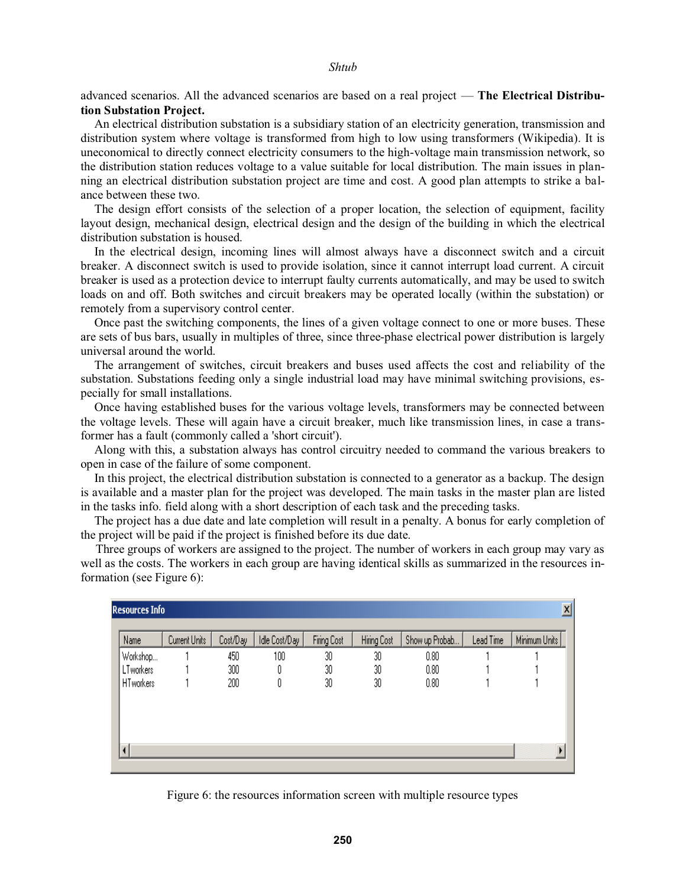advanced scenarios. All the advanced scenarios are based on a real project — The Electrical Distribu**tion Substation Project.** 

An electrical distribution substation is a subsidiary station of an electricity generation, transmission and distribution system where voltage is transformed from high to low using transformers (Wikipedia). It is uneconomical to directly connect electricity consumers to the high-voltage main transmission network, so the distribution station reduces voltage to a value suitable for local distribution. The main issues in planning an electrical distribution substation project are time and cost. A good plan attempts to strike a balance between these two.

The design effort consists of the selection of a proper location, the selection of equipment, facility layout design, mechanical design, electrical design and the design of the building in which the electrical distribution substation is housed.

In the electrical design, incoming lines will almost always have a disconnect switch and a circuit breaker. A disconnect switch is used to provide isolation, since it cannot interrupt load current. A circuit breaker is used as a protection device to interrupt faulty currents automatically, and may be used to switch loads on and off. Both switches and circuit breakers may be operated locally (within the substation) or remotely from a supervisory control center.

Once past the switching components, the lines of a given voltage connect to one or more buses. These are sets of bus bars, usually in multiples of three, since three-phase electrical power distribution is largely universal around the world.

The arrangement of switches, circuit breakers and buses used affects the cost and reliability of the substation. Substations feeding only a single industrial load may have minimal switching provisions, especially for small installations.

Once having established buses for the various voltage levels, transformers may be connected between the voltage levels. These will again have a circuit breaker, much like transmission lines, in case a transformer has a fault (commonly called a 'short circuit').

Along with this, a substation always has control circuitry needed to command the various breakers to open in case of the failure of some component.

In this project, the electrical distribution substation is connected to a generator as a backup. The design is available and a master plan for the project was developed. The main tasks in the master plan are listed in the tasks info. field along with a short description of each task and the preceding tasks.

The project has a due date and late completion will result in a penalty. A bonus for early completion of the project will be paid if the project is finished before its due date.

Three groups of workers are assigned to the project. The number of workers in each group may vary as well as the costs. The workers in each group are having identical skills as summarized in the resources information (see Figure 6):

| Cost/Day<br>Name<br>Current Units |               |             | Hiring Cost | Show up Probab | Lead Time | Minimum Units |
|-----------------------------------|---------------|-------------|-------------|----------------|-----------|---------------|
|                                   | Idle Cost/Day | Firing Cost |             |                |           |               |
| 450<br>Workshop                   | 100           | 30          | 30          | 0.80           |           |               |
| 300<br><b>LTworkers</b>           | 0             | 30          | 30          | 0.80           |           |               |
| 200<br><b>HTworkers</b>           | 0             | 30          | 30          | 0.80           |           |               |
|                                   |               |             |             |                |           |               |
|                                   |               |             |             |                |           |               |

Figure 6: the resources information screen with multiple resource types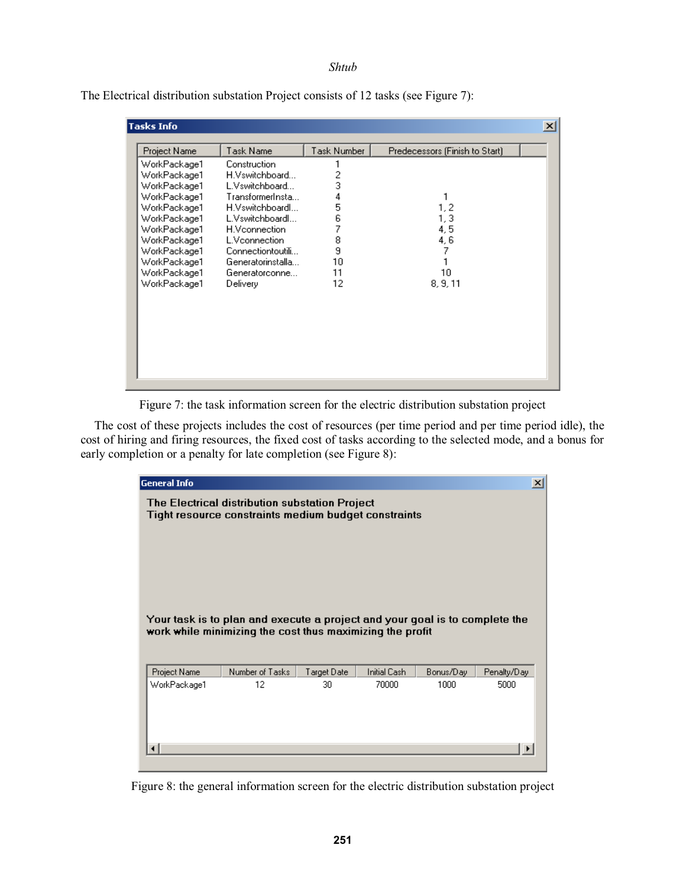| Project Name | Task Name         | Task Number | Predecessors (Finish to Start) |
|--------------|-------------------|-------------|--------------------------------|
| WorkPackage1 | Construction      |             |                                |
| WorkPackage1 | H.Vswitchboard    | 2           |                                |
| WorkPackage1 | L.Vswitchboard    | 3           |                                |
| WorkPackage1 | TransformerInsta  |             |                                |
| WorkPackage1 | H.Vswitchboardl   |             | 1, 2                           |
| WorkPackage1 | L.Vswitchboardl   | 4567        | 1, 3                           |
| WorkPackage1 | H.Vconnection     |             | 4,5                            |
| WorkPackage1 | L.Vconnection     | 8           | 4, 6                           |
| WorkPackage1 | Connectiontoutili | 9           | 7                              |
| WorkPackage1 | Generatorinstalla | 10          |                                |
| WorkPackage1 | Generatorconne    | 11          | 10                             |
| WorkPackage1 | <b>Delivery</b>   | 12          | 8, 9, 11                       |
|              |                   |             |                                |
|              |                   |             |                                |
|              |                   |             |                                |
|              |                   |             |                                |
|              |                   |             |                                |
|              |                   |             |                                |

The Electrical distribution substation Project consists of 12 tasks (see Figure 7):

Figure 7: the task information screen for the electric distribution substation project

The cost of these projects includes the cost of resources (per time period and per time period idle), the cost of hiring and firing resources, the fixed cost of tasks according to the selected mode, and a bonus for early completion or a penalty for late completion (see Figure 8):



Figure 8: the general information screen for the electric distribution substation project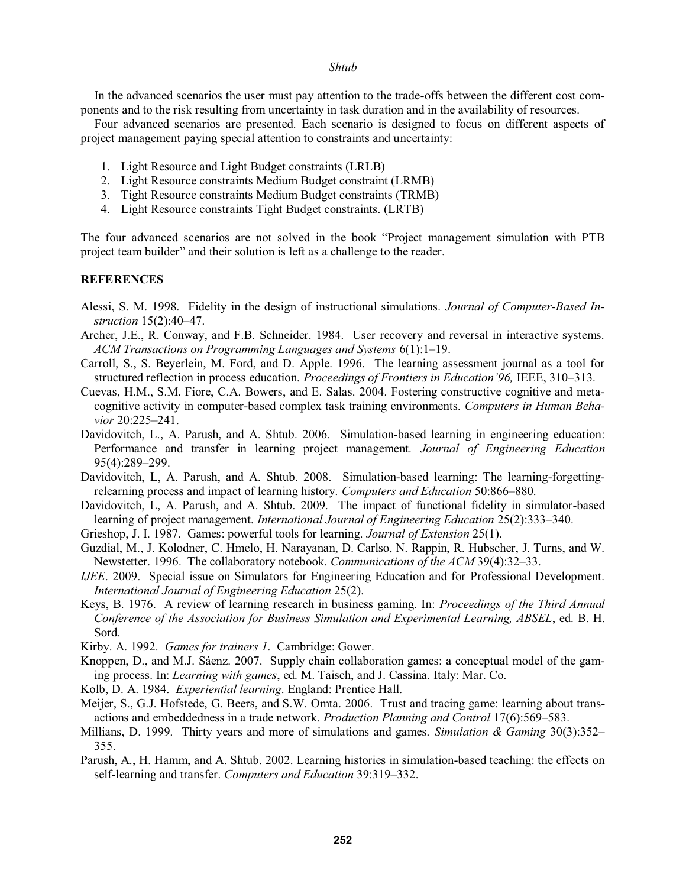In the advanced scenarios the user must pay attention to the trade-offs between the different cost components and to the risk resulting from uncertainty in task duration and in the availability of resources.

Four advanced scenarios are presented. Each scenario is designed to focus on different aspects of project management paying special attention to constraints and uncertainty:

- 1. Light Resource and Light Budget constraints (LRLB)
- 2. Light Resource constraints Medium Budget constraint (LRMB)
- 3. Tight Resource constraints Medium Budget constraints (TRMB)
- 4. Light Resource constraints Tight Budget constraints. (LRTB)

The four advanced scenarios are not solved in the book "Project management simulation with PTB project team builder" and their solution is left as a challenge to the reader.

### **REFERENCES**

- Alessi, S. M. 1998. Fidelity in the design of instructional simulations. *Journal of Computer-Based Instruction* 15(2):40–47.
- Archer, J.E., R. Conway, and F.B. Schneider. 1984. User recovery and reversal in interactive systems. *ACM Transactions on Programming Languages and Systems* 6(1):1–19.
- Carroll, S., S. Beyerlein, M. Ford, and D. Apple. 1996. The learning assessment journal as a tool for structured reflection in process education. *Proceedings of Frontiers in Education'96*, IEEE, 310-313.
- Cuevas, H.M., S.M. Fiore, C.A. Bowers, and E. Salas. 2004. Fostering constructive cognitive and metacognitive activity in computer-based complex task training environments. *Computers in Human Behavior* 20:225-241.
- Davidovitch, L., A. Parush, and A. Shtub. 2006. Simulation-based learning in engineering education: Performance and transfer in learning project management. *Journal of Engineering Education* 95(4):289-299.
- Davidovitch, L, A. Parush, and A. Shtub. 2008. Simulation-based learning: The learning-forgettingrelearning process and impact of learning history. *Computers and Education* 50:866–880.
- Davidovitch, L, A. Parush, and A. Shtub. 2009. The impact of functional fidelity in simulator-based learning of project management. *International Journal of Engineering Education* 25(2):333–340.
- Grieshop, J. I. 1987. Games: powerful tools for learning. *Journal of Extension* 25(1).
- Guzdial, M., J. Kolodner, C. Hmelo, H. Narayanan, D. Carlso, N. Rappin, R. Hubscher, J. Turns, and W. Newstetter. 1996. The collaboratory notebook. *Communications of the ACM* 39(4):32–33.
- *IJEE*. 2009. Special issue on Simulators for Engineering Education and for Professional Development. *International Journal of Engineering Education* 25(2).
- Keys, B. 1976. A review of learning research in business gaming. In: *Proceedings of the Third Annual Conference of the Association for Business Simulation and Experimental Learning, ABSEL*, ed. B. H. Sord.
- Kirby. A. 1992. *Games for trainers 1*. Cambridge: Gower.
- Knoppen, D., and M.J. Sáenz. 2007. Supply chain collaboration games: a conceptual model of the gaming process. In: *Learning with games*, ed. M. Taisch, and J. Cassina. Italy: Mar. Co.
- Kolb, D. A. 1984. *Experiential learning*. England: Prentice Hall.
- Meijer, S., G.J. Hofstede, G. Beers, and S.W. Omta. 2006. Trust and tracing game: learning about transactions and embeddedness in a trade network. *Production Planning and Control* 17(6):569–583.
- Millians, D. 1999. Thirty years and more of simulations and games. *Simulation & Gaming* 30(3):352– 355.
- Parush, A., H. Hamm, and A. Shtub. 2002. Learning histories in simulation-based teaching: the effects on self-learning and transfer. *Computers and Education* 39:319–332.